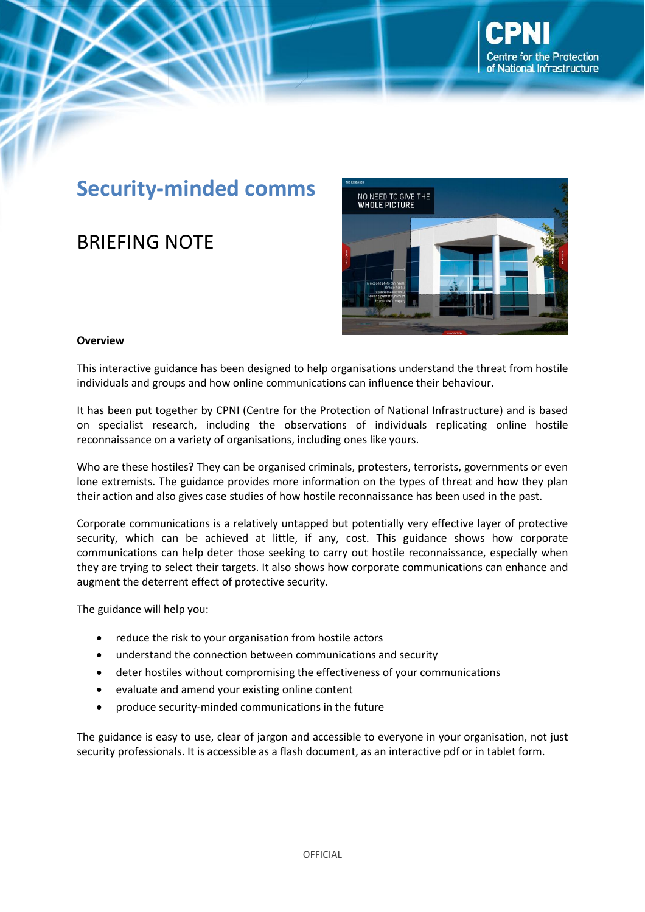# **Security-minded comms**

## BRIEFING NOTE



#### **Overview**

This interactive guidance has been designed to help organisations understand the threat from hostile individuals and groups and how online communications can influence their behaviour.

It has been put together by CPNI (Centre for the Protection of National Infrastructure) and is based on specialist research, including the observations of individuals replicating online hostile reconnaissance on a variety of organisations, including ones like yours.

Who are these hostiles? They can be organised criminals, protesters, terrorists, governments or even lone extremists. The guidance provides more information on the types of threat and how they plan their action and also gives case studies of how hostile reconnaissance has been used in the past.

Corporate communications is a relatively untapped but potentially very effective layer of protective security, which can be achieved at little, if any, cost. This guidance shows how corporate communications can help deter those seeking to carry out hostile reconnaissance, especially when they are trying to select their targets. It also shows how corporate communications can enhance and augment the deterrent effect of protective security.

The guidance will help you:

- reduce the risk to your organisation from hostile actors
- understand the connection between communications and security
- deter hostiles without compromising the effectiveness of your communications
- evaluate and amend your existing online content
- produce security-minded communications in the future

The guidance is easy to use, clear of jargon and accessible to everyone in your organisation, not just security professionals. It is accessible as a flash document, as an interactive pdf or in tablet form.